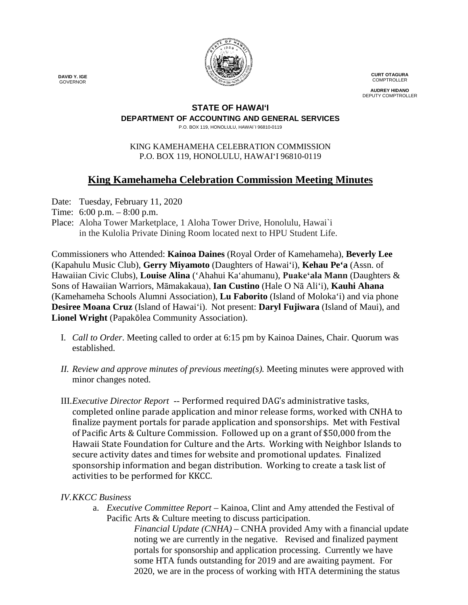

**CURT OTAGURA** COMPTROLLER

**AUDREY HIDANO** DEPUTY COMPTROLLER

## **STATE OF HAWAI'I**

## **DEPARTMENT OF ACCOUNTING AND GENERAL SERVICES**

P.O. BOX 119, HONOLULU, HAWAI`I 96810-0119

#### KING KAMEHAMEHA CELEBRATION COMMISSION P.O. BOX 119, HONOLULU, HAWAIʻI 96810-0119

# **King Kamehameha Celebration Commission Meeting Minutes**

Date: Tuesday, February 11, 2020

- Time: 6:00 p.m. 8:00 p.m.
- Place: Aloha Tower Marketplace, 1 Aloha Tower Drive, Honolulu, Hawai`i in the Kulolia Private Dining Room located next to HPU Student Life.

Commissioners who Attended: **Kainoa Daines** (Royal Order of Kamehameha), **Beverly Lee** (Kapahulu Music Club), **Gerry Miyamoto** (Daughters of Hawai'i), **Kehau Pe'a** (Assn. of Hawaiian Civic Clubs), **Louise Alina** ('Ahahui Ka'ahumanu), **Puakeʻala Mann** (Daughters & Sons of Hawaiian Warriors, Māmakakaua), **Ian Custino** (Hale O Nā Ali'i), **Kauhi Ahana** (Kamehameha Schools Alumni Association), **Lu Faborito** (Island of Moloka'i) and via phone **Desiree Moana Cruz** (Island of Hawai'i). Not present: **Daryl Fujiwara** (Island of Maui), and **Lionel Wright** (Papakōlea Community Association).

- I. *Call to Order*. Meeting called to order at 6:15 pm by Kainoa Daines, Chair. Quorum was established.
- *II. Review and approve minutes of previous meeting(s).* Meeting minutes were approved with minor changes noted.
- III.*Executive Director Report --* Performed required DAG's administrative tasks, completed online parade application and minor release forms, worked with CNHA to finalize payment portals for parade application and sponsorships. Met with Festival of Pacific Arts & Culture Commission. Followed up on a grant of \$50,000 from the Hawaii State Foundation for Culture and the Arts. Working with Neighbor Islands to secure activity dates and times for website and promotional updates. Finalized sponsorship information and began distribution. Working to create a task list of activities to be performed for KKCC.

## *IV.KKCC Business*

a. *Executive Committee Report –* Kainoa, Clint and Amy attended the Festival of Pacific Arts & Culture meeting to discuss participation.

i. *Financial Update (CNHA)* – CNHA provided Amy with a financial update noting we are currently in the negative. Revised and finalized payment portals for sponsorship and application processing. Currently we have some HTA funds outstanding for 2019 and are awaiting payment. For 2020, we are in the process of working with HTA determining the status

 **DAVID Y. IGE** GOVERNOR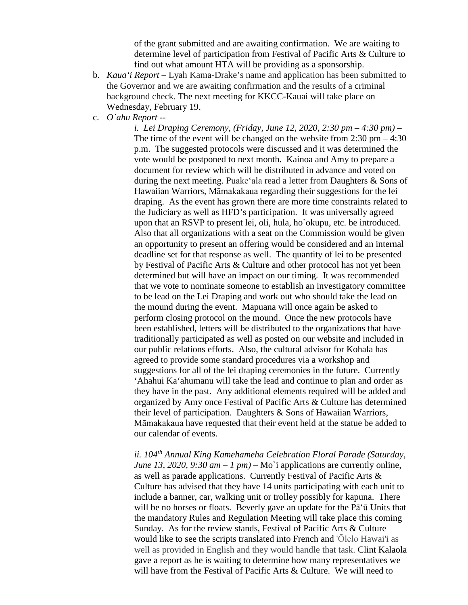of the grant submitted and are awaiting confirmation. We are waiting to determine level of participation from Festival of Pacific Arts & Culture to find out what amount HTA will be providing as a sponsorship.

- b. *Kaua'i Report –* Lyah Kama-Drake's name and application has been submitted to the Governor and we are awaiting confirmation and the results of a criminal background check. The next meeting for KKCC-Kauai will take place on Wednesday, February 19.
- c. *O`ahu Report* --

i. *i. Lei Draping Ceremony, (Friday, June 12, 2020, 2:30 pm – 4:30 pm)* – The time of the event will be changed on the website from 2:30 pm – 4:30 p.m. The suggested protocols were discussed and it was determined the vote would be postponed to next month. Kainoa and Amy to prepare a document for review which will be distributed in advance and voted on during the next meeting. Puakeʻala read a letter from Daughters & Sons of Hawaiian Warriors, Māmakakaua regarding their suggestions for the lei draping. As the event has grown there are more time constraints related to the Judiciary as well as HFD's participation. It was universally agreed upon that an RSVP to present lei, oli, hula, ho`okupu, etc. be introduced. Also that all organizations with a seat on the Commission would be given an opportunity to present an offering would be considered and an internal deadline set for that response as well. The quantity of lei to be presented by Festival of Pacific Arts & Culture and other protocol has not yet been determined but will have an impact on our timing. It was recommended that we vote to nominate someone to establish an investigatory committee to be lead on the Lei Draping and work out who should take the lead on the mound during the event. Mapuana will once again be asked to perform closing protocol on the mound. Once the new protocols have been established, letters will be distributed to the organizations that have traditionally participated as well as posted on our website and included in our public relations efforts. Also, the cultural advisor for Kohala has agreed to provide some standard procedures via a workshop and suggestions for all of the lei draping ceremonies in the future. Currently 'Ahahui Ka'ahumanu will take the lead and continue to plan and order as they have in the past. Any additional elements required will be added and organized by Amy once Festival of Pacific Arts & Culture has determined their level of participation. Daughters & Sons of Hawaiian Warriors, Māmakakaua have requested that their event held at the statue be added to our calendar of events.

iii. *ii. 104th Annual King Kamehameha Celebration Floral Parade (Saturday, June* 13, 2020, 9:30  $am - 1$   $pm$ ) – Mo'i applications are currently online, as well as parade applications. Currently Festival of Pacific Arts & Culture has advised that they have 14 units participating with each unit to include a banner, car, walking unit or trolley possibly for kapuna. There will be no horses or floats. Beverly gave an update for the P $\bar{a}$ 'u Units that the mandatory Rules and Regulation Meeting will take place this coming Sunday. As for the review stands, Festival of Pacific Arts & Culture would like to see the scripts translated into French and 'Ōlelo Hawai'i as well as provided in English and they would handle that task. Clint Kalaola gave a report as he is waiting to determine how many representatives we will have from the Festival of Pacific Arts & Culture. We will need to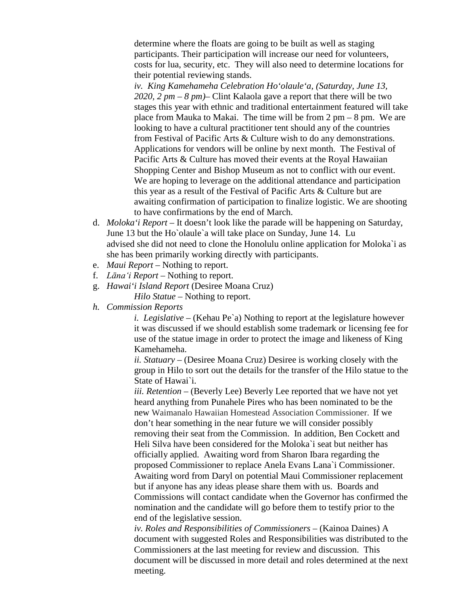determine where the floats are going to be built as well as staging participants. Their participation will increase our need for volunteers, costs for lua, security, etc. They will also need to determine locations for their potential reviewing stands.

*iv. King Kamehameha Celebration Ho'olaule'a, (Saturday, June 13, 2020, 2 pm – 8 pm)*– Clint Kalaola gave a report that there will be two stages this year with ethnic and traditional entertainment featured will take place from Mauka to Makai. The time will be from  $2 \text{ pm} - 8 \text{ pm}$ . We are looking to have a cultural practitioner tent should any of the countries from Festival of Pacific Arts & Culture wish to do any demonstrations. Applications for vendors will be online by next month. The Festival of Pacific Arts & Culture has moved their events at the Royal Hawaiian Shopping Center and Bishop Museum as not to conflict with our event. We are hoping to leverage on the additional attendance and participation this year as a result of the Festival of Pacific Arts & Culture but are awaiting confirmation of participation to finalize logistic. We are shooting to have confirmations by the end of March.

- d. *Moloka'i Report* It doesn't look like the parade will be happening on Saturday, June 13 but the Ho`olaule`a will take place on Sunday, June 14. Lu advised she did not need to clone the Honolulu online application for Moloka`i as she has been primarily working directly with participants.
- e. *Maui Report* Nothing to report.
- f. *Lāna'i Report* Nothing to report.
- g. *Hawai'i Island Report* (Desiree Moana Cruz) *Hilo Statue* – Nothing to report.
- *h. Commission Reports*

*i. i. Legislative* – (Kehau Pe`a) Nothing to report at the legislature however it was discussed if we should establish some trademark or licensing fee for use of the statue image in order to protect the image and likeness of King Kamehameha.

*ii. Statuary –* (Desiree Moana Cruz) Desiree is working closely with the group in Hilo to sort out the details for the transfer of the Hilo statue to the State of Hawai`i.

*iii. Retention –* (Beverly Lee) Beverly Lee reported that we have not yet heard anything from Punahele Pires who has been nominated to be the new Waimanalo Hawaiian Homestead Association Commissioner. If we don't hear something in the near future we will consider possibly removing their seat from the Commission. In addition, Ben Cockett and Heli Silva have been considered for the Moloka`i seat but neither has officially applied. Awaiting word from Sharon Ibara regarding the proposed Commissioner to replace Anela Evans Lana`i Commissioner. Awaiting word from Daryl on potential Maui Commissioner replacement but if anyone has any ideas please share them with us. Boards and Commissions will contact candidate when the Governor has confirmed the nomination and the candidate will go before them to testify prior to the end of the legislative session.

*ii. iv. Roles and Responsibilities of Commissioners –* (Kainoa Daines) A document with suggested Roles and Responsibilities was distributed to the Commissioners at the last meeting for review and discussion. This document will be discussed in more detail and roles determined at the next meeting.